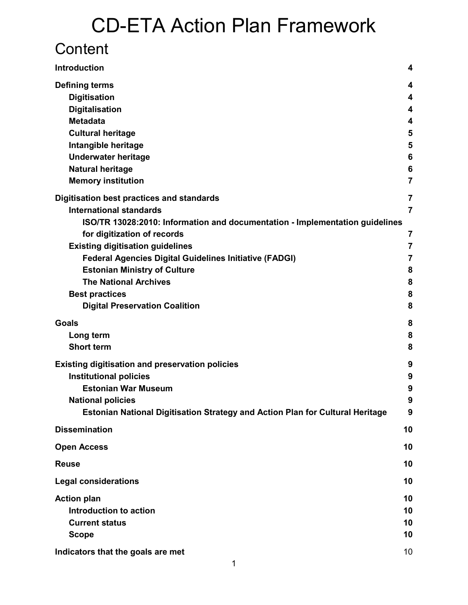# CD-ETA Action Plan Framework

# **Content**

| <b>Introduction</b>                                                           | 4              |
|-------------------------------------------------------------------------------|----------------|
| <b>Defining terms</b>                                                         | 4              |
| <b>Digitisation</b>                                                           | 4              |
| <b>Digitalisation</b>                                                         | 4              |
| <b>Metadata</b>                                                               | 4              |
| <b>Cultural heritage</b>                                                      | 5              |
| Intangible heritage                                                           | 5              |
| <b>Underwater heritage</b>                                                    | 6              |
| <b>Natural heritage</b>                                                       | 6              |
| <b>Memory institution</b>                                                     | 7              |
| Digitisation best practices and standards                                     | 7              |
| <b>International standards</b>                                                | $\overline{7}$ |
| ISO/TR 13028:2010: Information and documentation - Implementation guidelines  |                |
| for digitization of records                                                   | 7              |
| <b>Existing digitisation guidelines</b>                                       | $\overline{7}$ |
| <b>Federal Agencies Digital Guidelines Initiative (FADGI)</b>                 | 7              |
| <b>Estonian Ministry of Culture</b>                                           | 8              |
| <b>The National Archives</b>                                                  | 8              |
| <b>Best practices</b>                                                         | 8              |
| <b>Digital Preservation Coalition</b>                                         | 8              |
| Goals                                                                         | 8              |
| Long term                                                                     | 8              |
| <b>Short term</b>                                                             | 8              |
| <b>Existing digitisation and preservation policies</b>                        | 9              |
| <b>Institutional policies</b>                                                 | 9              |
| <b>Estonian War Museum</b>                                                    | 9              |
| <b>National policies</b>                                                      | 9              |
| Estonian National Digitisation Strategy and Action Plan for Cultural Heritage | 9              |
| <b>Dissemination</b>                                                          | 10             |
| <b>Open Access</b>                                                            | 10             |
| <b>Reuse</b>                                                                  | 10             |
| <b>Legal considerations</b>                                                   | 10             |
| <b>Action plan</b>                                                            | 10             |
| Introduction to action                                                        | 10             |
| <b>Current status</b>                                                         | 10             |
| <b>Scope</b>                                                                  | 10             |
| Indicators that the goals are met                                             | 10             |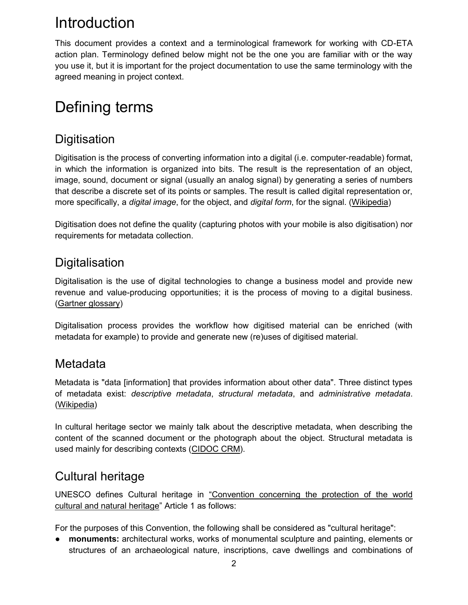# <span id="page-1-0"></span>**Introduction**

This document provides a context and a terminological framework for working with CD-ETA action plan. Terminology defined below might not be the one you are familiar with or the way you use it, but it is important for the project documentation to use the same terminology with the agreed meaning in project context.

# <span id="page-1-1"></span>Defining terms

## <span id="page-1-2"></span>**Digitisation**

Digitisation is the process of converting information into a digital (i.e. computer-readable) format, in which the information is organized into bits. The result is the representation of an object, image, sound, document or signal (usually an analog signal) by generating a series of numbers that describe a discrete set of its points or samples. The result is called digital representation or, more specifically, a *digital image*, for the object, and *digital form*, for the signal. [\(Wikipedia\)](https://en.wikipedia.org/wiki/Digitization)

Digitisation does not define the quality (capturing photos with your mobile is also digitisation) nor requirements for metadata collection.

## <span id="page-1-3"></span>Digitalisation

Digitalisation is the use of digital technologies to change a business model and provide new revenue and value-producing opportunities; it is the process of moving to a digital business. [\(Gartner glossary\)](https://research.gartner.com/definition-whatis-digitalization?resId=3237920&srcId=1-8163325102)

Digitalisation process provides the workflow how digitised material can be enriched (with metadata for example) to provide and generate new (re)uses of digitised material.

## <span id="page-1-4"></span>**Metadata**

Metadata is "data [information] that provides information about other data". Three distinct types of metadata exist: *descriptive metadata*, *structural metadata*, and *administrative metadata*. [\(Wikipedia\)](https://en.wikipedia.org/wiki/Metadata)

In cultural heritage sector we mainly talk about the descriptive metadata, when describing the content of the scanned document or the photograph about the object. Structural metadata is used mainly for describing contexts [\(CIDOC CRM\)](http://www.cidoc-crm.org/).

## <span id="page-1-5"></span>Cultural heritage

UNESCO defines Cultural heritage in ["Convention concerning the protection of the world](http://whc.unesco.org/en/conventiontext/)  [cultural and natural heritage](http://whc.unesco.org/en/conventiontext/)" Article 1 as follows:

For the purposes of this Convention, the following shall be considered as "cultural heritage":

**monuments:** architectural works, works of monumental sculpture and painting, elements or structures of an archaeological nature, inscriptions, cave dwellings and combinations of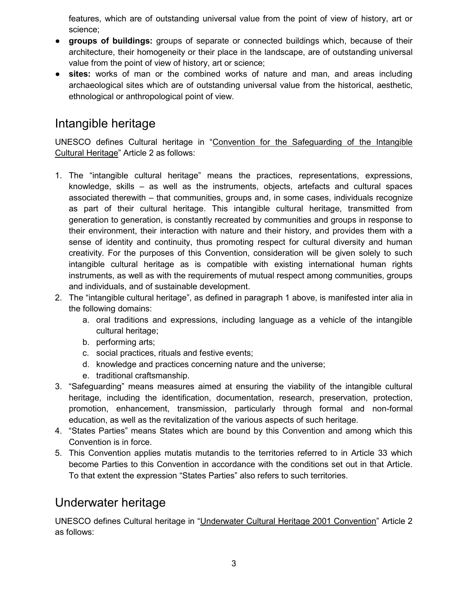features, which are of outstanding universal value from the point of view of history, art or science;

- **groups of buildings:** groups of separate or connected buildings which, because of their architecture, their homogeneity or their place in the landscape, are of outstanding universal value from the point of view of history, art or science;
- **sites:** works of man or the combined works of nature and man, and areas including archaeological sites which are of outstanding universal value from the historical, aesthetic, ethnological or anthropological point of view.

## <span id="page-2-0"></span>Intangible heritage

UNESCO defines Cultural heritage in "[Convention for the Safeguarding of the Intangible](https://ich.unesco.org/en/convention)  [Cultural Heritage](https://ich.unesco.org/en/convention)" Article 2 as follows:

- 1. The "intangible cultural heritage" means the practices, representations, expressions, knowledge, skills – as well as the instruments, objects, artefacts and cultural spaces associated therewith – that communities, groups and, in some cases, individuals recognize as part of their cultural heritage. This intangible cultural heritage, transmitted from generation to generation, is constantly recreated by communities and groups in response to their environment, their interaction with nature and their history, and provides them with a sense of identity and continuity, thus promoting respect for cultural diversity and human creativity. For the purposes of this Convention, consideration will be given solely to such intangible cultural heritage as is compatible with existing international human rights instruments, as well as with the requirements of mutual respect among communities, groups and individuals, and of sustainable development.
- 2. The "intangible cultural heritage", as defined in paragraph 1 above, is manifested inter alia in the following domains:
	- a. oral traditions and expressions, including language as a vehicle of the intangible cultural heritage;
	- b. performing arts;
	- c. social practices, rituals and festive events;
	- d. knowledge and practices concerning nature and the universe;
	- e. traditional craftsmanship.
- 3. "Safeguarding" means measures aimed at ensuring the viability of the intangible cultural heritage, including the identification, documentation, research, preservation, protection, promotion, enhancement, transmission, particularly through formal and non-formal education, as well as the revitalization of the various aspects of such heritage.
- 4. "States Parties" means States which are bound by this Convention and among which this Convention is in force.
- 5. This Convention applies mutatis mutandis to the territories referred to in Article 33 which become Parties to this Convention in accordance with the conditions set out in that Article. To that extent the expression "States Parties" also refers to such territories.

## <span id="page-2-1"></span>Underwater heritage

UNESCO defines Cultural heritage in "[Underwater Cultural Heritage 2001 Convention](http://www.unesco.org/new/en/culture/themes/underwater-cultural-heritage/2001-convention/official-text/)" Article 2 as follows: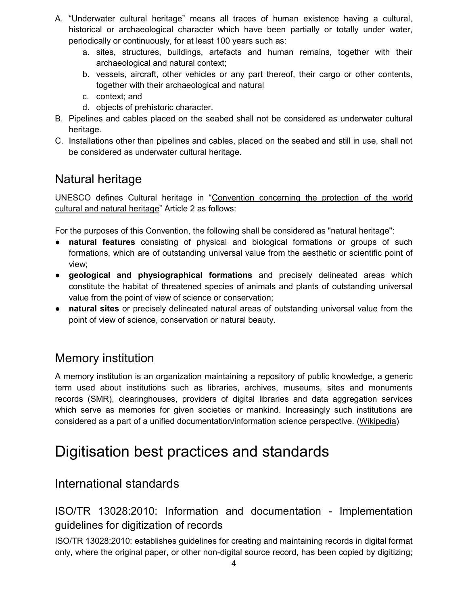- A. "Underwater cultural heritage" means all traces of human existence having a cultural, historical or archaeological character which have been partially or totally under water, periodically or continuously, for at least 100 years such as:
	- a. sites, structures, buildings, artefacts and human remains, together with their archaeological and natural context;
	- b. vessels, aircraft, other vehicles or any part thereof, their cargo or other contents, together with their archaeological and natural
	- c. context; and
	- d. objects of prehistoric character.
- B. Pipelines and cables placed on the seabed shall not be considered as underwater cultural heritage.
- C. Installations other than pipelines and cables, placed on the seabed and still in use, shall not be considered as underwater cultural heritage.

### <span id="page-3-0"></span>Natural heritage

UNESCO defines Cultural heritage in "[Convention concerning the protection of the world](http://whc.unesco.org/en/conventiontext/)  [cultural and natural heritage](http://whc.unesco.org/en/conventiontext/)" Article 2 as follows:

For the purposes of this Convention, the following shall be considered as "natural heritage":

- **natural features** consisting of physical and biological formations or groups of such formations, which are of outstanding universal value from the aesthetic or scientific point of view;
- **geological and physiographical formations** and precisely delineated areas which constitute the habitat of threatened species of animals and plants of outstanding universal value from the point of view of science or conservation;
- **natural sites** or precisely delineated natural areas of outstanding universal value from the point of view of science, conservation or natural beauty.

## <span id="page-3-1"></span>Memory institution

A memory institution is an organization maintaining a repository of public knowledge, a generic term used about institutions such as libraries, archives, museums, sites and monuments records (SMR), clearinghouses, providers of digital libraries and data aggregation services which serve as memories for given societies or mankind. Increasingly such institutions are considered as a part of a unified documentation/information science perspective. [\(Wikipedia\)](https://en.wikipedia.org/wiki/Memory_institution)

# <span id="page-3-2"></span>Digitisation best practices and standards

### <span id="page-3-3"></span>International standards

<span id="page-3-4"></span>ISO/TR 13028:2010: Information and documentation - Implementation guidelines for digitization of records

ISO/TR 13028:2010: establishes guidelines for creating and maintaining records in digital format only, where the original paper, or other non-digital source record, has been copied by digitizing;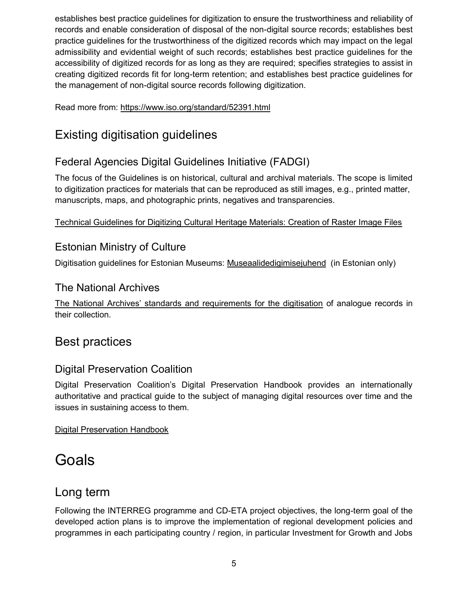establishes best practice guidelines for digitization to ensure the trustworthiness and reliability of records and enable consideration of disposal of the non-digital source records; establishes best practice guidelines for the trustworthiness of the digitized records which may impact on the legal admissibility and evidential weight of such records; establishes best practice guidelines for the accessibility of digitized records for as long as they are required; specifies strategies to assist in creating digitized records fit for long-term retention; and establishes best practice guidelines for the management of non-digital source records following digitization.

<span id="page-4-0"></span>Read more from:<https://www.iso.org/standard/52391.html>

## Existing digitisation guidelines

### <span id="page-4-1"></span>Federal Agencies Digital Guidelines Initiative (FADGI)

The focus of the Guidelines is on historical, cultural and archival materials. The scope is limited to digitization practices for materials that can be reproduced as still images, e.g., printed matter, manuscripts, maps, and photographic prints, negatives and transparencies.

#### [Technical Guidelines for Digitizing Cultural Heritage Materials: Creation of Raster Image Files](http://www.digitizationguidelines.gov/guidelines/FADGI%20Federal%20%20Agencies%20Digital%20Guidelines%20Initiative-2016%20Final_rev1.pdf)

### <span id="page-4-2"></span>Estonian Ministry of Culture

<span id="page-4-3"></span>Digitisation guidelines for Estonian Museums: [Museaalidedigimisejuhend](https://wwwkul.rik.ee/sites/kulminn/files/digijuhend_2016.pdf) (in Estonian only)

#### The National Archives

[The National Archives' standards and requirements for the digitisation](http://nationalarchives.gov.uk/documents/information-management/digitisation-at-the-national-archives.pdf) of analogue records in their collection.

### <span id="page-4-4"></span>Best practices

### <span id="page-4-5"></span>Digital Preservation Coalition

Digital Preservation Coalition's Digital Preservation Handbook provides an internationally authoritative and practical guide to the subject of managing digital resources over time and the issues in sustaining access to them.

#### <span id="page-4-6"></span>[Digital Preservation Handbook](http://www.dpconline.org/handbook)

# Goals

### <span id="page-4-7"></span>Long term

Following the INTERREG programme and CD-ETA project objectives, the long-term goal of the developed action plans is to improve the implementation of regional development policies and programmes in each participating country / region, in particular Investment for Growth and Jobs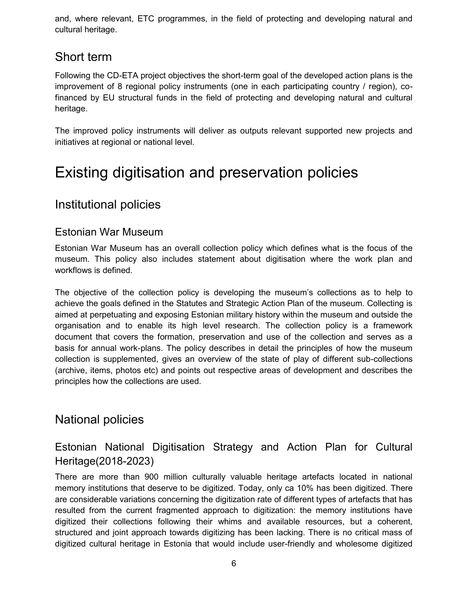and, where relevant, ETC programmes, in the field of protecting and developing natural and cultural heritage.

## <span id="page-5-0"></span>Short term

Following the CD-ETA project objectives the short-term goal of the developed action plans is the improvement of 8 regional policy instruments (one in each participating country / region), cofinanced by EU structural funds in the field of protecting and developing natural and cultural heritage.

The improved policy instruments will deliver as outputs relevant supported new projects and initiatives at regional or national level.

# <span id="page-5-1"></span>Existing digitisation and preservation policies

### <span id="page-5-2"></span>Institutional policies

#### <span id="page-5-3"></span>Estonian War Museum

Estonian War Museum has an overall collection policy which defines what is the focus of the museum. This policy also includes statement about digitisation where the work plan and workflows is defined.

The objective of the collection policy is developing the museum's collections as to help to achieve the goals defined in the Statutes and Strategic Action Plan of the museum. Collecting is aimed at perpetuating and exposing Estonian military history within the museum and outside the organisation and to enable its high level research. The collection policy is a framework document that covers the formation, preservation and use of the collection and serves as a basis for annual work-plans. The policy describes in detail the principles of how the museum collection is supplemented, gives an overview of the state of play of different sub-collections (archive, items, photos etc) and points out respective areas of development and describes the principles how the collections are used.

### <span id="page-5-4"></span>National policies

### <span id="page-5-5"></span>Estonian National Digitisation Strategy and Action Plan for Cultural Heritage(2018-2023)

There are more than 900 million culturally valuable heritage artefacts located in national memory institutions that deserve to be digitized. Today, only ca 10% has been digitized. There are considerable variations concerning the digitization rate of different types of artefacts that has resulted from the current fragmented approach to digitization: the memory institutions have digitized their collections following their whims and available resources, but a coherent, structured and joint approach towards digitizing has been lacking. There is no critical mass of digitized cultural heritage in Estonia that would include user-friendly and wholesome digitized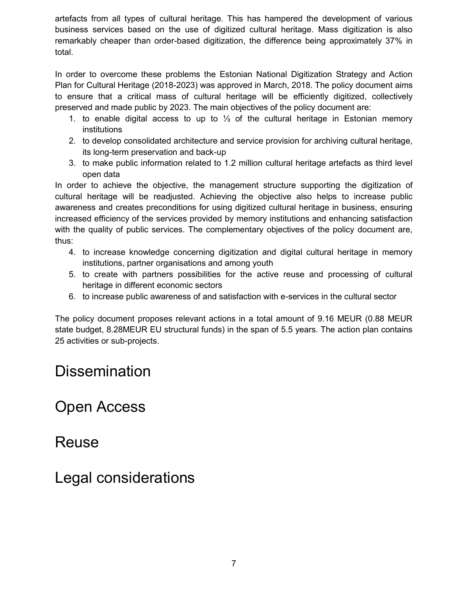artefacts from all types of cultural heritage. This has hampered the development of various business services based on the use of digitized cultural heritage. Mass digitization is also remarkably cheaper than order-based digitization, the difference being approximately 37% in total.

In order to overcome these problems the Estonian National Digitization Strategy and Action Plan for Cultural Heritage (2018-2023) was approved in March, 2018. The policy document aims to ensure that a critical mass of cultural heritage will be efficiently digitized, collectively preserved and made public by 2023. The main objectives of the policy document are:

- 1. to enable digital access to up to ⅓ of the cultural heritage in Estonian memory institutions
- 2. to develop consolidated architecture and service provision for archiving cultural heritage, its long-term preservation and back-up
- 3. to make public information related to 1.2 million cultural heritage artefacts as third level open data

In order to achieve the objective, the management structure supporting the digitization of cultural heritage will be readjusted. Achieving the objective also helps to increase public awareness and creates preconditions for using digitized cultural heritage in business, ensuring increased efficiency of the services provided by memory institutions and enhancing satisfaction with the quality of public services. The complementary objectives of the policy document are, thus:

- 4. to increase knowledge concerning digitization and digital cultural heritage in memory institutions, partner organisations and among youth
- 5. to create with partners possibilities for the active reuse and processing of cultural heritage in different economic sectors
- 6. to increase public awareness of and satisfaction with e-services in the cultural sector

The policy document proposes relevant actions in a total amount of 9.16 MEUR (0.88 MEUR state budget, 8.28MEUR EU structural funds) in the span of 5.5 years. The action plan contains 25 activities or sub-projects.

# <span id="page-6-0"></span>**Dissemination**

# <span id="page-6-1"></span>Open Access

## <span id="page-6-2"></span>Reuse

# <span id="page-6-3"></span>Legal considerations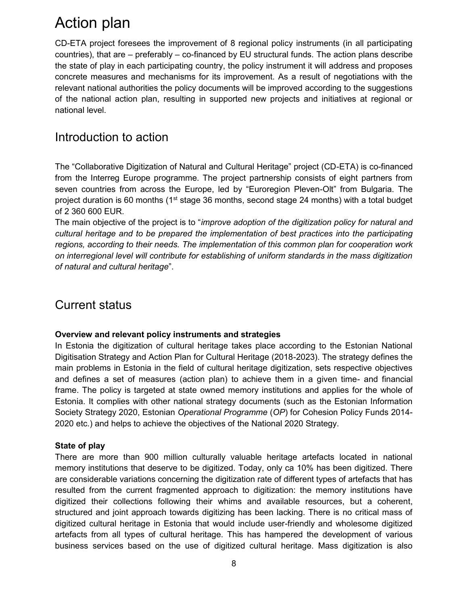# <span id="page-7-0"></span>Action plan

CD-ETA project foresees the improvement of 8 regional policy instruments (in all participating countries), that are – preferably – co-financed by EU structural funds. The action plans describe the state of play in each participating country, the policy instrument it will address and proposes concrete measures and mechanisms for its improvement. As a result of negotiations with the relevant national authorities the policy documents will be improved according to the suggestions of the national action plan, resulting in supported new projects and initiatives at regional or national level.

### <span id="page-7-1"></span>Introduction to action

The "Collaborative Digitization of Natural and Cultural Heritage" project (CD-ETA) is co-financed from the Interreg Europe programme. The project partnership consists of eight partners from seven countries from across the Europe, led by "Euroregion Pleven-Olt" from Bulgaria. The project duration is 60 months ( $1<sup>st</sup>$  stage 36 months, second stage 24 months) with a total budget of 2 360 600 EUR.

The main objective of the project is to "*improve adoption of the digitization policy for natural and cultural heritage and to be prepared the implementation of best practices into the participating regions, according to their needs. The implementation of this common plan for cooperation work on interregional level will contribute for establishing of uniform standards in the mass digitization of natural and cultural heritage*".

### <span id="page-7-2"></span>Current status

#### **Overview and relevant policy instruments and strategies**

In Estonia the digitization of cultural heritage takes place according to the Estonian National Digitisation Strategy and Action Plan for Cultural Heritage (2018-2023). The strategy defines the main problems in Estonia in the field of cultural heritage digitization, sets respective objectives and defines a set of measures (action plan) to achieve them in a given time- and financial frame. The policy is targeted at state owned memory institutions and applies for the whole of Estonia. It complies with other national strategy documents (such as the Estonian Information Society Strategy 2020, Estonian *Operational Programme* (*OP*) for Cohesion Policy Funds 2014- 2020 etc.) and helps to achieve the objectives of the National 2020 Strategy.

#### **State of play**

There are more than 900 million culturally valuable heritage artefacts located in national memory institutions that deserve to be digitized. Today, only ca 10% has been digitized. There are considerable variations concerning the digitization rate of different types of artefacts that has resulted from the current fragmented approach to digitization: the memory institutions have digitized their collections following their whims and available resources, but a coherent, structured and joint approach towards digitizing has been lacking. There is no critical mass of digitized cultural heritage in Estonia that would include user-friendly and wholesome digitized artefacts from all types of cultural heritage. This has hampered the development of various business services based on the use of digitized cultural heritage. Mass digitization is also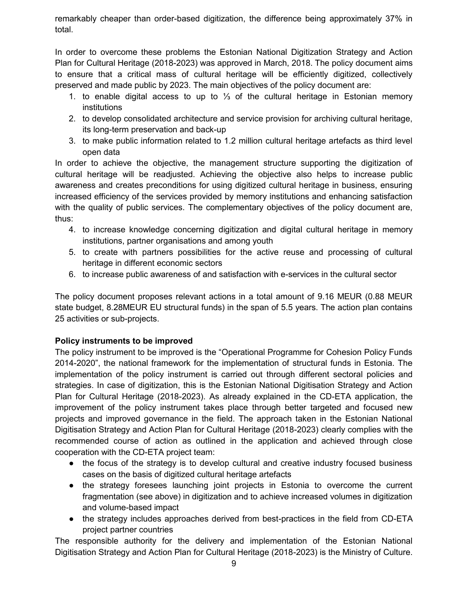remarkably cheaper than order-based digitization, the difference being approximately 37% in total.

In order to overcome these problems the Estonian National Digitization Strategy and Action Plan for Cultural Heritage (2018-2023) was approved in March, 2018. The policy document aims to ensure that a critical mass of cultural heritage will be efficiently digitized, collectively preserved and made public by 2023. The main objectives of the policy document are:

- 1. to enable digital access to up to ⅓ of the cultural heritage in Estonian memory institutions
- 2. to develop consolidated architecture and service provision for archiving cultural heritage, its long-term preservation and back-up
- 3. to make public information related to 1.2 million cultural heritage artefacts as third level open data

In order to achieve the objective, the management structure supporting the digitization of cultural heritage will be readjusted. Achieving the objective also helps to increase public awareness and creates preconditions for using digitized cultural heritage in business, ensuring increased efficiency of the services provided by memory institutions and enhancing satisfaction with the quality of public services. The complementary objectives of the policy document are, thus:

- 4. to increase knowledge concerning digitization and digital cultural heritage in memory institutions, partner organisations and among youth
- 5. to create with partners possibilities for the active reuse and processing of cultural heritage in different economic sectors
- 6. to increase public awareness of and satisfaction with e-services in the cultural sector

The policy document proposes relevant actions in a total amount of 9.16 MEUR (0.88 MEUR state budget, 8.28MEUR EU structural funds) in the span of 5.5 years. The action plan contains 25 activities or sub-projects.

#### **Policy instruments to be improved**

The policy instrument to be improved is the "Operational Programme for Cohesion Policy Funds 2014-2020", the national framework for the implementation of structural funds in Estonia. The implementation of the policy instrument is carried out through different sectoral policies and strategies. In case of digitization, this is the Estonian National Digitisation Strategy and Action Plan for Cultural Heritage (2018-2023). As already explained in the CD-ETA application, the improvement of the policy instrument takes place through better targeted and focused new projects and improved governance in the field. The approach taken in the Estonian National Digitisation Strategy and Action Plan for Cultural Heritage (2018-2023) clearly complies with the recommended course of action as outlined in the application and achieved through close cooperation with the CD-ETA project team:

- the focus of the strategy is to develop cultural and creative industry focused business cases on the basis of digitized cultural heritage artefacts
- the strategy foresees launching joint projects in Estonia to overcome the current fragmentation (see above) in digitization and to achieve increased volumes in digitization and volume-based impact
- the strategy includes approaches derived from best-practices in the field from CD-ETA project partner countries

The responsible authority for the delivery and implementation of the Estonian National Digitisation Strategy and Action Plan for Cultural Heritage (2018-2023) is the Ministry of Culture.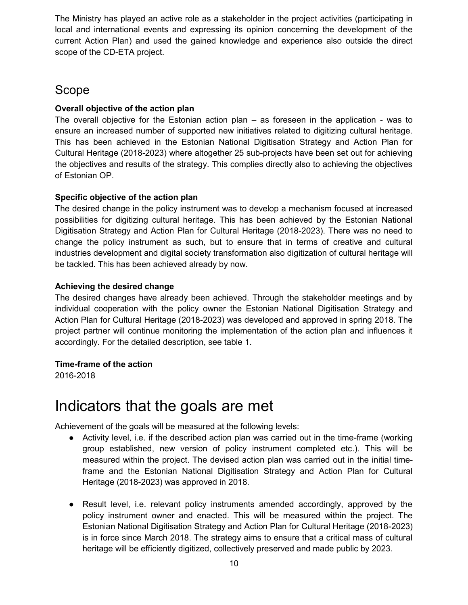The Ministry has played an active role as a stakeholder in the project activities (participating in local and international events and expressing its opinion concerning the development of the current Action Plan) and used the gained knowledge and experience also outside the direct scope of the CD-ETA project.

### <span id="page-9-0"></span>Scope

#### **Overall objective of the action plan**

The overall objective for the Estonian action plan – as foreseen in the application - was to ensure an increased number of supported new initiatives related to digitizing cultural heritage. This has been achieved in the Estonian National Digitisation Strategy and Action Plan for Cultural Heritage (2018-2023) where altogether 25 sub-projects have been set out for achieving the objectives and results of the strategy. This complies directly also to achieving the objectives of Estonian OP.

#### **Specific objective of the action plan**

The desired change in the policy instrument was to develop a mechanism focused at increased possibilities for digitizing cultural heritage. This has been achieved by the Estonian National Digitisation Strategy and Action Plan for Cultural Heritage (2018-2023). There was no need to change the policy instrument as such, but to ensure that in terms of creative and cultural industries development and digital society transformation also digitization of cultural heritage will be tackled. This has been achieved already by now.

#### **Achieving the desired change**

The desired changes have already been achieved. Through the stakeholder meetings and by individual cooperation with the policy owner the Estonian National Digitisation Strategy and Action Plan for Cultural Heritage (2018-2023) was developed and approved in spring 2018. The project partner will continue monitoring the implementation of the action plan and influences it accordingly. For the detailed description, see table 1.

#### **Time-frame of the action**

<span id="page-9-1"></span>2016-2018

## Indicators that the goals are met

Achievement of the goals will be measured at the following levels:

- Activity level, i.e. if the described action plan was carried out in the time-frame (working group established, new version of policy instrument completed etc.). This will be measured within the project. The devised action plan was carried out in the initial timeframe and the Estonian National Digitisation Strategy and Action Plan for Cultural Heritage (2018-2023) was approved in 2018.
- Result level, i.e. relevant policy instruments amended accordingly, approved by the policy instrument owner and enacted. This will be measured within the project. The Estonian National Digitisation Strategy and Action Plan for Cultural Heritage (2018-2023) is in force since March 2018. The strategy aims to ensure that a critical mass of cultural heritage will be efficiently digitized, collectively preserved and made public by 2023.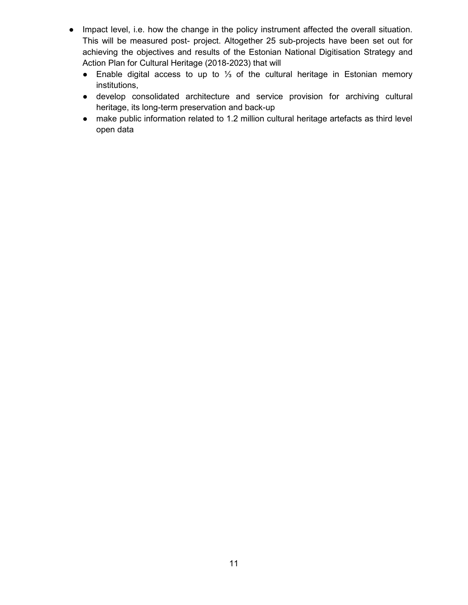- Impact level, i.e. how the change in the policy instrument affected the overall situation. This will be measured post- project. Altogether 25 sub-projects have been set out for achieving the objectives and results of the Estonian National Digitisation Strategy and Action Plan for Cultural Heritage (2018-2023) that will
	- Enable digital access to up to 1/<sub>3</sub> of the cultural heritage in Estonian memory institutions,
	- develop consolidated architecture and service provision for archiving cultural heritage, its long-term preservation and back-up
	- make public information related to 1.2 million cultural heritage artefacts as third level open data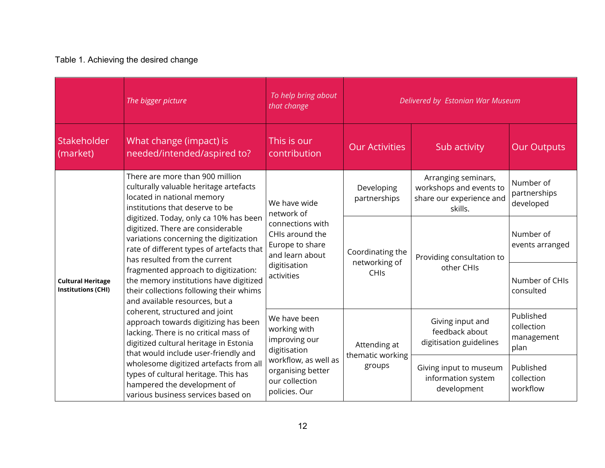### Table 1. Achieving the desired change

|                                                       | The bigger picture                                                                                                                                                                                                                                                                                                                                                                                                                                                                                               | To help bring about<br>that change                                                                                                            | Delivered by Estonian War Museum                 |                                                                                       |                                               |  |
|-------------------------------------------------------|------------------------------------------------------------------------------------------------------------------------------------------------------------------------------------------------------------------------------------------------------------------------------------------------------------------------------------------------------------------------------------------------------------------------------------------------------------------------------------------------------------------|-----------------------------------------------------------------------------------------------------------------------------------------------|--------------------------------------------------|---------------------------------------------------------------------------------------|-----------------------------------------------|--|
| Stakeholder<br>(market)                               | What change (impact) is<br>needed/intended/aspired to?                                                                                                                                                                                                                                                                                                                                                                                                                                                           | This is our<br>contribution                                                                                                                   | <b>Our Activities</b>                            | Sub activity                                                                          | <b>Our Outputs</b>                            |  |
| <b>Cultural Heritage</b><br><b>Institutions (CHI)</b> | There are more than 900 million<br>culturally valuable heritage artefacts<br>located in national memory<br>institutions that deserve to be<br>digitized. Today, only ca 10% has been<br>digitized. There are considerable<br>variations concerning the digitization<br>rate of different types of artefacts that<br>has resulted from the current<br>fragmented approach to digitization:<br>the memory institutions have digitized<br>their collections following their whims<br>and available resources, but a | We have wide<br>network of<br>connections with<br>CHIs around the<br>Europe to share<br>and learn about<br>digitisation<br>activities         | Developing<br>partnerships                       | Arranging seminars,<br>workshops and events to<br>share our experience and<br>skills. | Number of<br>partnerships<br>developed        |  |
|                                                       |                                                                                                                                                                                                                                                                                                                                                                                                                                                                                                                  |                                                                                                                                               | Coordinating the<br>networking of<br><b>CHIS</b> | Providing consultation to<br>other CHIs                                               | Number of<br>events arranged                  |  |
|                                                       |                                                                                                                                                                                                                                                                                                                                                                                                                                                                                                                  |                                                                                                                                               |                                                  |                                                                                       | Number of CHIs<br>consulted                   |  |
|                                                       | coherent, structured and joint<br>approach towards digitizing has been<br>lacking. There is no critical mass of<br>digitized cultural heritage in Estonia<br>that would include user-friendly and                                                                                                                                                                                                                                                                                                                | We have been<br>working with<br>improving our<br>digitisation<br>workflow, as well as<br>organising better<br>our collection<br>policies. Our | Attending at<br>thematic working<br>groups       | Giving input and<br>feedback about<br>digitisation guidelines                         | Published<br>collection<br>management<br>plan |  |
|                                                       | wholesome digitized artefacts from all<br>types of cultural heritage. This has<br>hampered the development of<br>various business services based on                                                                                                                                                                                                                                                                                                                                                              |                                                                                                                                               |                                                  | Giving input to museum<br>information system<br>development                           | Published<br>collection<br>workflow           |  |